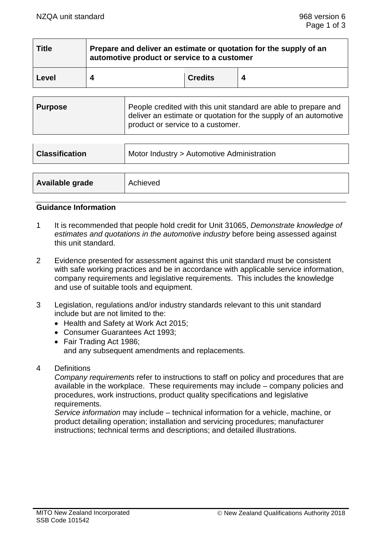| <b>Title</b> | Prepare and deliver an estimate or quotation for the supply of an<br>automotive product or service to a customer |                |   |  |  |
|--------------|------------------------------------------------------------------------------------------------------------------|----------------|---|--|--|
| Level        |                                                                                                                  | <b>Credits</b> | 4 |  |  |

| <b>Purpose</b> | People credited with this unit standard are able to prepare and<br>deliver an estimate or quotation for the supply of an automotive<br>product or service to a customer. |
|----------------|--------------------------------------------------------------------------------------------------------------------------------------------------------------------------|
|----------------|--------------------------------------------------------------------------------------------------------------------------------------------------------------------------|

| <b>Classification</b> | Motor Industry > Automotive Administration |  |
|-----------------------|--------------------------------------------|--|
|                       |                                            |  |
| Available grade       | Achieved                                   |  |

## **Guidance Information**

- 1 It is recommended that people hold credit for Unit 31065, *Demonstrate knowledge of estimates and quotations in the automotive industry* before being assessed against this unit standard.
- 2 Evidence presented for assessment against this unit standard must be consistent with safe working practices and be in accordance with applicable service information, company requirements and legislative requirements. This includes the knowledge and use of suitable tools and equipment.
- 3 Legislation, regulations and/or industry standards relevant to this unit standard include but are not limited to the:
	- Health and Safety at Work Act 2015;
	- Consumer Guarantees Act 1993;
	- Fair Trading Act 1986; and any subsequent amendments and replacements.
- 4 Definitions

*Company requirements* refer to instructions to staff on policy and procedures that are available in the workplace. These requirements may include – company policies and procedures, work instructions, product quality specifications and legislative requirements.

*Service information* may include – technical information for a vehicle, machine, or product detailing operation; installation and servicing procedures; manufacturer instructions; technical terms and descriptions; and detailed illustrations.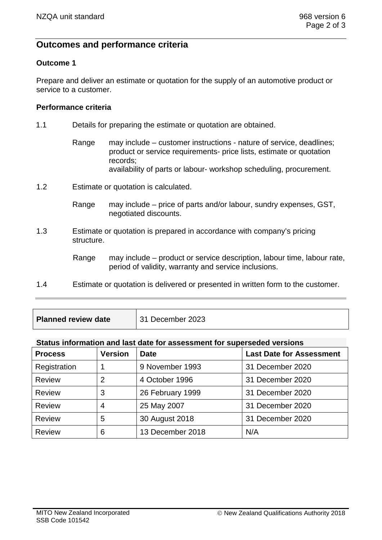# **Outcomes and performance criteria**

### **Outcome 1**

Prepare and deliver an estimate or quotation for the supply of an automotive product or service to a customer.

#### **Performance criteria**

- 1.1 Details for preparing the estimate or quotation are obtained.
	- Range may include customer instructions nature of service, deadlines; product or service requirements- price lists, estimate or quotation records; availability of parts or labour- workshop scheduling, procurement.
- 1.2 Estimate or quotation is calculated.

Range may include – price of parts and/or labour, sundry expenses, GST, negotiated discounts.

1.3 Estimate or quotation is prepared in accordance with company's pricing structure.

> Range may include – product or service description, labour time, labour rate, period of validity, warranty and service inclusions.

- 1.4 Estimate or quotation is delivered or presented in written form to the customer.
- **Planned review date** 31 December 2023

#### **Status information and last date for assessment for superseded versions**

| <b>Process</b> | <b>Version</b> | <b>Date</b>      | <b>Last Date for Assessment</b> |
|----------------|----------------|------------------|---------------------------------|
| Registration   |                | 9 November 1993  | 31 December 2020                |
| <b>Review</b>  | 2              | 4 October 1996   | 31 December 2020                |
| <b>Review</b>  | 3              | 26 February 1999 | 31 December 2020                |
| <b>Review</b>  | 4              | 25 May 2007      | 31 December 2020                |
| <b>Review</b>  | 5              | 30 August 2018   | 31 December 2020                |
| <b>Review</b>  | 6              | 13 December 2018 | N/A                             |